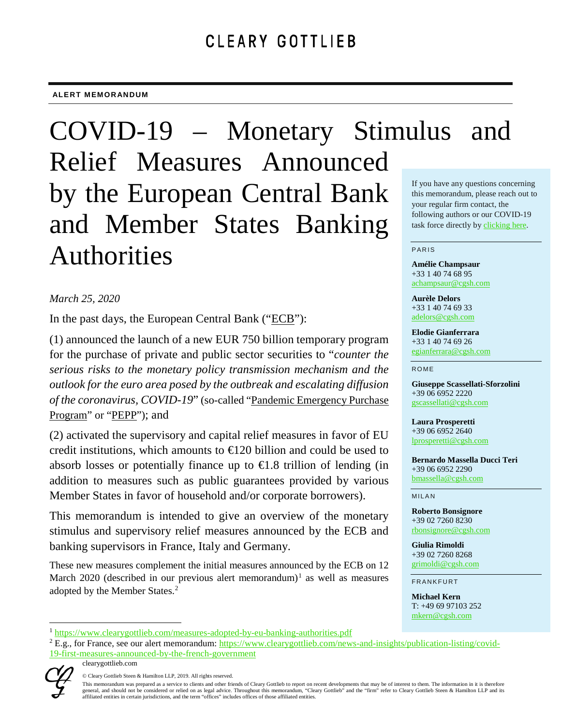# COVID-19 – Monetary Stimulus and Relief Measures Announced by the European Central Bank and Member States Banking Authorities your regular firm contact, the PARIS **Amélie Champsaur**

## *March 25, 2020*

In the past days, the European Central Bank ("ECB"):

(1) announced the launch of a new EUR 750 billion temporary program for the purchase of private and public sector securities to "*counter the serious risks to the monetary policy transmission mechanism and the outlook for the euro area posed by the outbreak and escalating diffusion of the coronavirus, COVID-19*" (so-called "Pandemic Emergency Purchase Program" or "PEPP"); and

(2) activated the supervisory and capital relief measures in favor of EU credit institutions, which amounts to  $\epsilon$  20 billion and could be used to absorb losses or potentially finance up to  $\in$ 1.8 trillion of lending (in addition to measures such as public guarantees provided by various Member States in favor of household and/or corporate borrowers).

This memorandum is intended to give an overview of the monetary stimulus and supervisory relief measures announced by the ECB and banking supervisors in France, Italy and Germany.

These new measures complement the initial measures announced by the ECB on 12 March 2020 (described in our previous alert memorandum)<sup>[1](#page-0-0)</sup> as well as measures adopted by the Member States.[2](#page-0-1)

<span id="page-0-1"></span>clearygottlieb.com <sup>2</sup> E.g., for France, see our alert memorandum: [https://www.clearygottlieb.com/news-and-insights/publication-listing/covid-](https://www.clearygottlieb.com/news-and-insights/publication-listing/covid-19-first-measures-announced-by-the-french-government)[19-first-measures-announced-by-the-french-government](https://www.clearygottlieb.com/news-and-insights/publication-listing/covid-19-first-measures-announced-by-the-french-government)



© Cleary Gottlieb Steen & Hamilton LLP, 2019. All rights reserved.

If you have any questions concerning this memorandum, please reach out to following authors or our COVID-19 task force directly by [clicking here.](mailto:Global-Cleary_Covid-19_Taskforce@cgsh.com?subject=COVID-19)

+33 1 40 74 68 95 [achampsaur@cgsh.com](mailto:achampsaur@cgsh.com)

**Aurèle Delors** +33 1 40 74 69 33 [adelors@cgsh.com](mailto:adelors@cgsh.com)

**Elodie Gianferrara** +33 1 40 74 69 26 [egianferrara@cgsh.com](mailto:egianferrara@cgsh.com)

ROME

**Giuseppe Scassellati-Sforzolini**  +39 06 6952 2220 [gscassellati@cgsh.com](mailto:gscassellati@cgsh.com)

**Laura Prosperetti**  +39 06 6952 2640 [lprosperetti@cgsh.com](mailto:lprosperetti@cgsh.com)

**Bernardo Massella Ducci Teri**  +39 06 6952 2290 [bmassella@cgsh.com](mailto:bmassella@cgsh.com)

#### MILAN

**Roberto Bonsignore**  +39 02 7260 8230 [rbonsignore@cgsh.com](mailto:rbonsignore@cgsh.com)

**Giulia Rimoldi**  +39 02 7260 8268 [grimoldi@cgsh.com](mailto:grimoldi@cgsh.com)

FRANKFURT

**Michael Kern** T: +49 69 97103 252 [mkern@cgsh.com](mailto:mkern@cgsh.com)

<span id="page-0-0"></span> <sup>1</sup> <https://www.clearygottlieb.com/measures-adopted-by-eu-banking-authorities.pdf>

This memorandum was prepared as a service to clients and other friends of Cleary Gottlieb to report on recent developments that may be of interest to them. The information in it is therefore general, and should not be considered or relied on as legal advice. Throughout this memorandum, "Cleary Gottlieb" and the "firm" refer to Cleary Gottlieb Steen & Hamilton LLP and its affiliated entities in certain jurisdictions, and the term "offices" includes offices of those affiliated entities.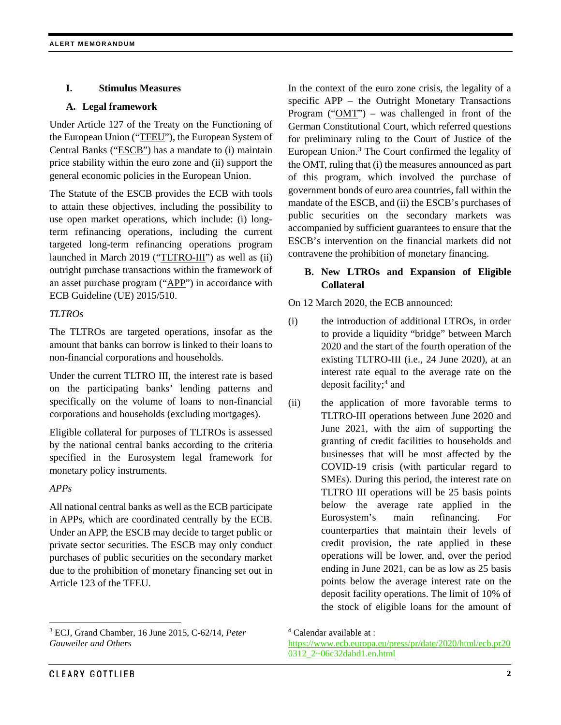## **I. Stimulus Measures**

## **A. Legal framework**

Under Article 127 of the Treaty on the Functioning of the European Union ("TFEU"), the European System of Central Banks ("ESCB") has a mandate to (i) maintain price stability within the euro zone and (ii) support the general economic policies in the European Union.

The Statute of the ESCB provides the ECB with tools to attain these objectives, including the possibility to use open market operations, which include: (i) longterm refinancing operations, including the current targeted long-term refinancing operations program launched in March 2019 ("TLTRO-III") as well as (ii) outright purchase transactions within the framework of an asset purchase program ("APP") in accordance with ECB Guideline (UE) 2015/510.

## *TLTROs*

The TLTROs are targeted operations, insofar as the amount that banks can borrow is linked to their loans to non-financial corporations and households.

Under the current TLTRO III, the interest rate is based on the participating banks' lending patterns and specifically on the volume of loans to non-financial corporations and households (excluding mortgages).

Eligible collateral for purposes of TLTROs is assessed by the national central banks according to the criteria specified in the Eurosystem legal framework for monetary policy instruments.

## *APPs*

All national central banks as well as the ECB participate in APPs, which are coordinated centrally by the ECB. Under an APP, the ESCB may decide to target public or private sector securities. The ESCB may only conduct purchases of public securities on the secondary market due to the prohibition of monetary financing set out in Article 123 of the TFEU.

In the context of the euro zone crisis, the legality of a specific APP – the Outright Monetary Transactions Program ("OMT") – was challenged in front of the German Constitutional Court, which referred questions for preliminary ruling to the Court of Justice of the European Union. [3](#page-1-0) The Court confirmed the legality of the OMT, ruling that (i) the measures announced as part of this program, which involved the purchase of government bonds of euro area countries, fall within the mandate of the ESCB, and (ii) the ESCB's purchases of public securities on the secondary markets was accompanied by sufficient guarantees to ensure that the ESCB's intervention on the financial markets did not contravene the prohibition of monetary financing.

## **B. New LTROs and Expansion of Eligible Collateral**

On 12 March 2020, the ECB announced:

- (i) the introduction of additional LTROs, in order to provide a liquidity "bridge" between March 2020 and the start of the fourth operation of the existing TLTRO-III (i.e., 24 June 2020), at an interest rate equal to the average rate on the deposit facility; [4](#page-1-0) and
- (ii) the application of more favorable terms to TLTRO-III operations between June 2020 and June 2021, with the aim of supporting the granting of credit facilities to households and businesses that will be most affected by the COVID-19 crisis (with particular regard to SMEs). During this period, the interest rate on TLTRO III operations will be 25 basis points below the average rate applied in the Eurosystem's main refinancing. For counterparties that maintain their levels of credit provision, the rate applied in these operations will be lower, and, over the period ending in June 2021, can be as low as 25 basis points below the average interest rate on the deposit facility operations. The limit of 10% of the stock of eligible loans for the amount of

<span id="page-1-0"></span> <sup>3</sup> ECJ, Grand Chamber, 16 June 2015, C-62/14, *Peter Gauweiler and Others*

<sup>4</sup> Calendar available at :

[https://www.ecb.europa.eu/press/pr/date/2020/html/ecb.pr20](https://www.ecb.europa.eu/press/pr/date/2020/html/ecb.pr200312_2%7E06c32dabd1.en.html) [0312\\_2~06c32dabd1.en.html](https://www.ecb.europa.eu/press/pr/date/2020/html/ecb.pr200312_2%7E06c32dabd1.en.html)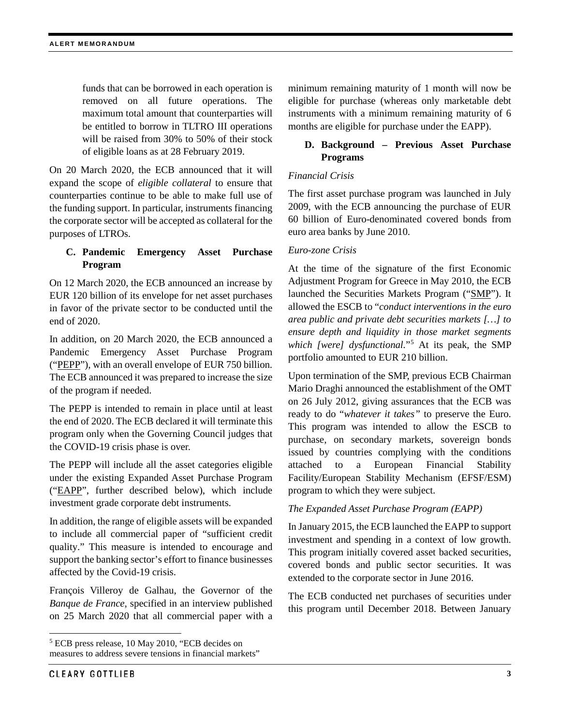funds that can be borrowed in each operation is removed on all future operations. The maximum total amount that counterparties will be entitled to borrow in TLTRO III operations will be raised from 30% to 50% of their stock of eligible loans as at 28 February 2019.

On 20 March 2020*,* the ECB announced that it will expand the scope of *eligible collateral* to ensure that counterparties continue to be able to make full use of the funding support. In particular, instruments financing the corporate sector will be accepted as collateral for the purposes of LTROs.

## **C. Pandemic Emergency Asset Purchase Program**

On 12 March 2020, the ECB announced an increase by EUR 120 billion of its envelope for net asset purchases in favor of the private sector to be conducted until the end of 2020.

In addition, on 20 March 2020, the ECB announced a Pandemic Emergency Asset Purchase Program ("PEPP"), with an overall envelope of EUR 750 billion. The ECB announced it was prepared to increase the size of the program if needed.

The PEPP is intended to remain in place until at least the end of 2020. The ECB declared it will terminate this program only when the Governing Council judges that the COVID-19 crisis phase is over.

The PEPP will include all the asset categories eligible under the existing Expanded Asset Purchase Program ("EAPP", further described below), which include investment grade corporate debt instruments.

In addition, the range of eligible assets will be expanded to include all commercial paper of "sufficient credit quality." This measure is intended to encourage and support the banking sector's effort to finance businesses affected by the Covid-19 crisis.

François Villeroy de Galhau, the Governor of the *Banque de France*, specified in an interview published on 25 March 2020 that all commercial paper with a

minimum remaining maturity of 1 month will now be eligible for purchase (whereas only marketable debt instruments with a minimum remaining maturity of 6 months are eligible for purchase under the EAPP).

## **D. Background – Previous Asset Purchase Programs**

## *Financial Crisis*

The first asset purchase program was launched in July 2009, with the ECB announcing the purchase of EUR 60 billion of Euro-denominated covered bonds from euro area banks by June 2010.

## *Euro-zone Crisis*

At the time of the signature of the first Economic Adjustment Program for Greece in May 2010, the ECB launched the Securities Markets Program ("SMP"). It allowed the ESCB to "*conduct interventions in the euro area public and private debt securities markets […] to ensure depth and liquidity in those market segments which [were] dysfunctional.*"[5](#page-2-0) At its peak, the SMP portfolio amounted to EUR 210 billion.

Upon termination of the SMP, previous ECB Chairman Mario Draghi announced the establishment of the OMT on 26 July 2012, giving assurances that the ECB was ready to do "*whatever it takes"* to preserve the Euro. This program was intended to allow the ESCB to purchase, on secondary markets, sovereign bonds issued by countries complying with the conditions attached to a European Financial Stability Facility/European Stability Mechanism (EFSF/ESM) program to which they were subject.

## *The Expanded Asset Purchase Program (EAPP)*

In January 2015, the ECB launched the EAPP to support investment and spending in a context of low growth. This program initially covered asset backed securities, covered bonds and public sector securities. It was extended to the corporate sector in June 2016.

The ECB conducted net purchases of securities under this program until December 2018. Between January

<span id="page-2-0"></span> <sup>5</sup> ECB press release, 10 May 2010, "ECB decides on measures to address severe tensions in financial markets"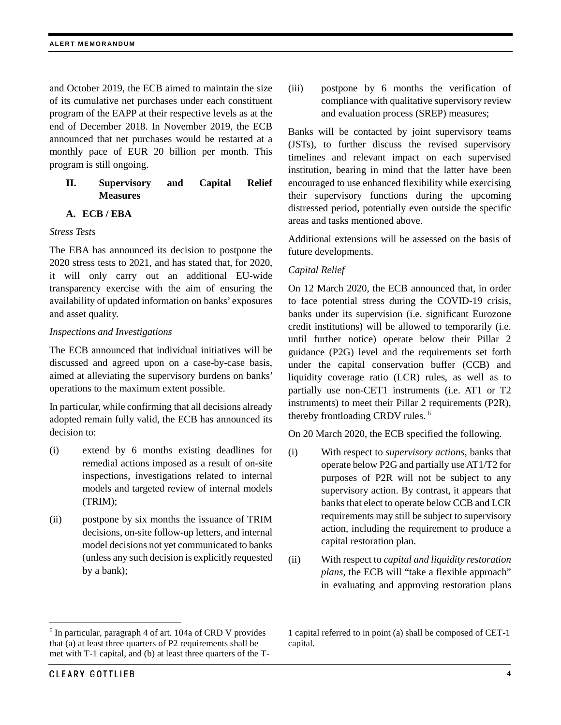and October 2019, the ECB aimed to maintain the size of its cumulative net purchases under each constituent program of the EAPP at their respective levels as at the end of December 2018. In November 2019, the ECB announced that net purchases would be restarted at a monthly pace of EUR 20 billion per month. This program is still ongoing.

## **II. Supervisory and Capital Relief Measures**

## **A. ECB / EBA**

## *Stress Tests*

The EBA has announced its decision to postpone the 2020 stress tests to 2021, and has stated that, for 2020, it will only carry out an additional EU-wide transparency exercise with the aim of ensuring the availability of updated information on banks' exposures and asset quality.

## *Inspections and Investigations*

The ECB announced that individual initiatives will be discussed and agreed upon on a case-by-case basis, aimed at alleviating the supervisory burdens on banks' operations to the maximum extent possible.

In particular, while confirming that all decisions already adopted remain fully valid, the ECB has announced its decision to:

- (i) extend by 6 months existing deadlines for remedial actions imposed as a result of on-site inspections, investigations related to internal models and targeted review of internal models (TRIM);
- (ii) postpone by six months the issuance of TRIM decisions, on-site follow-up letters, and internal model decisions not yet communicated to banks (unless any such decision is explicitly requested by a bank);

(iii) postpone by 6 months the verification of compliance with qualitative supervisory review and evaluation process (SREP) measures;

Banks will be contacted by joint supervisory teams (JSTs), to further discuss the revised supervisory timelines and relevant impact on each supervised institution, bearing in mind that the latter have been encouraged to use enhanced flexibility while exercising their supervisory functions during the upcoming distressed period, potentially even outside the specific areas and tasks mentioned above.

Additional extensions will be assessed on the basis of future developments.

## *Capital Relief*

On 12 March 2020, the ECB announced that, in order to face potential stress during the COVID-19 crisis, banks under its supervision (i.e. significant Eurozone credit institutions) will be allowed to temporarily (i.e. until further notice) operate below their Pillar 2 guidance (P2G) level and the requirements set forth under the capital conservation buffer (CCB) and liquidity coverage ratio (LCR) rules, as well as to partially use non-CET1 instruments (i.e. AT1 or T2 instruments) to meet their Pillar 2 requirements (P2R), thereby frontloading CRDV rules. [6](#page-3-0)

On 20 March 2020, the ECB specified the following.

- (i) With respect to *supervisory actions*, banks that operate below P2G and partially use AT1/T2 for purposes of P2R will not be subject to any supervisory action. By contrast, it appears that banks that elect to operate below CCB and LCR requirements may still be subject to supervisory action, including the requirement to produce a capital restoration plan.
- (ii) With respect to *capital and liquidity restoration plans*, the ECB will "take a flexible approach" in evaluating and approving restoration plans

1 capital referred to in point (a) shall be composed of CET-1 capital.

<span id="page-3-0"></span> <sup>6</sup> In particular, paragraph 4 of art. 104a of CRD V provides that (a) at least three quarters of P2 requirements shall be met with T-1 capital, and (b) at least three quarters of the T-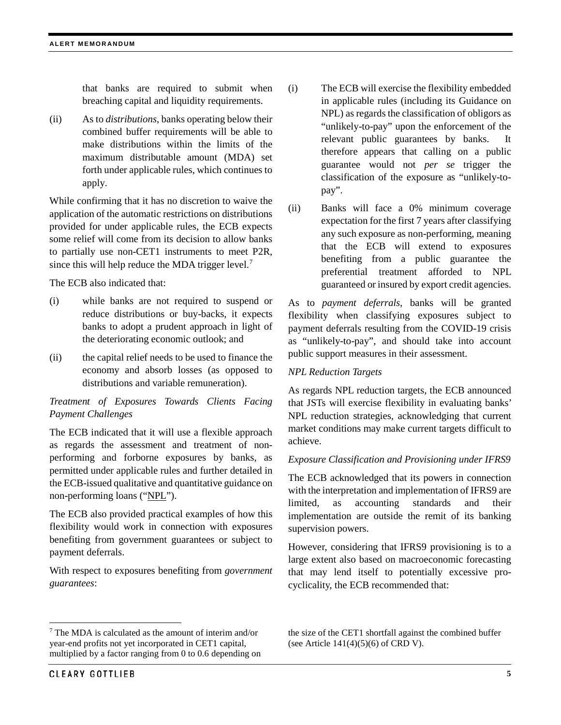that banks are required to submit when breaching capital and liquidity requirements.

(ii) As to *distributions*, banks operating below their combined buffer requirements will be able to make distributions within the limits of the maximum distributable amount (MDA) set forth under applicable rules, which continues to apply.

While confirming that it has no discretion to waive the application of the automatic restrictions on distributions provided for under applicable rules, the ECB expects some relief will come from its decision to allow banks to partially use non-CET1 instruments to meet P2R, since this will help reduce the MDA trigger level. [7](#page-4-0)

The ECB also indicated that:

- (i) while banks are not required to suspend or reduce distributions or buy-backs, it expects banks to adopt a prudent approach in light of the deteriorating economic outlook; and
- (ii) the capital relief needs to be used to finance the economy and absorb losses (as opposed to distributions and variable remuneration).

## *Treatment of Exposures Towards Clients Facing Payment Challenges*

The ECB indicated that it will use a flexible approach as regards the assessment and treatment of nonperforming and forborne exposures by banks, as permitted under applicable rules and further detailed in the ECB-issued qualitative and quantitative guidance on non-performing loans ("NPL").

The ECB also provided practical examples of how this flexibility would work in connection with exposures benefiting from government guarantees or subject to payment deferrals.

With respect to exposures benefiting from *government guarantees*:

- (i) The ECB will exercise the flexibility embedded in applicable rules (including its Guidance on NPL) as regards the classification of obligors as "unlikely-to-pay" upon the enforcement of the relevant public guarantees by banks. It therefore appears that calling on a public guarantee would not *per se* trigger the classification of the exposure as "unlikely-topay".
- (ii) Banks will face a 0% minimum coverage expectation for the first 7 years after classifying any such exposure as non-performing, meaning that the ECB will extend to exposures benefiting from a public guarantee the preferential treatment afforded to NPL guaranteed or insured by export credit agencies.

As to *payment deferrals*, banks will be granted flexibility when classifying exposures subject to payment deferrals resulting from the COVID-19 crisis as "unlikely-to-pay", and should take into account public support measures in their assessment.

## *NPL Reduction Targets*

As regards NPL reduction targets, the ECB announced that JSTs will exercise flexibility in evaluating banks' NPL reduction strategies, acknowledging that current market conditions may make current targets difficult to achieve.

## *Exposure Classification and Provisioning under IFRS9*

The ECB acknowledged that its powers in connection with the interpretation and implementation of IFRS9 are limited, as accounting standards and their implementation are outside the remit of its banking supervision powers.

However, considering that IFRS9 provisioning is to a large extent also based on macroeconomic forecasting that may lend itself to potentially excessive procyclicality, the ECB recommended that:

<span id="page-4-0"></span> <sup>7</sup> The MDA is calculated as the amount of interim and/or year-end profits not yet incorporated in CET1 capital, multiplied by a factor ranging from 0 to 0.6 depending on

the size of the CET1 shortfall against the combined buffer (see Article 141(4)(5)(6) of CRD V).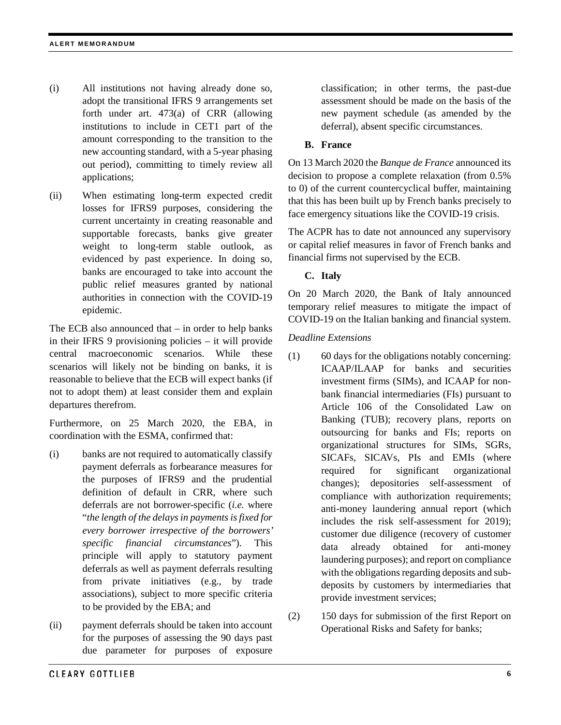- (i) All institutions not having already done so, adopt the transitional IFRS 9 arrangements set forth under art. 473(a) of CRR (allowing institutions to include in CET1 part of the amount corresponding to the transition to the new accounting standard, with a 5-year phasing out period), committing to timely review all applications;
- (ii) When estimating long-term expected credit losses for IFRS9 purposes, considering the current uncertainty in creating reasonable and supportable forecasts, banks give greater weight to long-term stable outlook, as evidenced by past experience. In doing so, banks are encouraged to take into account the public relief measures granted by national authorities in connection with the COVID-19 epidemic.

The ECB also announced that  $-$  in order to help banks in their IFRS 9 provisioning policies – it will provide central macroeconomic scenarios. While these scenarios will likely not be binding on banks, it is reasonable to believe that the ECB will expect banks (if not to adopt them) at least consider them and explain departures therefrom.

Furthermore, on 25 March 2020, the EBA, in coordination with the ESMA, confirmed that:

- (i) banks are not required to automatically classify payment deferrals as forbearance measures for the purposes of IFRS9 and the prudential definition of default in CRR, where such deferrals are not borrower-specific (*i.e.* where "*the length of the delays in payments is fixed for every borrower irrespective of the borrowers' specific financial circumstances*"). This principle will apply to statutory payment deferrals as well as payment deferrals resulting from private initiatives (e.g., by trade associations), subject to more specific criteria to be provided by the EBA; and
- (ii) payment deferrals should be taken into account for the purposes of assessing the 90 days past due parameter for purposes of exposure

classification; in other terms, the past-due assessment should be made on the basis of the new payment schedule (as amended by the deferral), absent specific circumstances.

## **B. France**

On 13 March 2020 the *Banque de France* announced its decision to propose a complete relaxation (from 0.5% to 0) of the current countercyclical buffer, maintaining that this has been built up by French banks precisely to face emergency situations like the COVID-19 crisis.

The ACPR has to date not announced any supervisory or capital relief measures in favor of French banks and financial firms not supervised by the ECB.

## **C. Italy**

On 20 March 2020, the Bank of Italy announced temporary relief measures to mitigate the impact of COVID-19 on the Italian banking and financial system.

## *Deadline Extensions*

- (1) 60 days for the obligations notably concerning: ICAAP/ILAAP for banks and securities investment firms (SIMs), and ICAAP for nonbank financial intermediaries (FIs) pursuant to Article 106 of the Consolidated Law on Banking (TUB); recovery plans, reports on outsourcing for banks and FIs; reports on organizational structures for SIMs, SGRs, SICAFs, SICAVs, PIs and EMIs (where required for significant organizational changes); depositories self-assessment of compliance with authorization requirements; anti-money laundering annual report (which includes the risk self-assessment for 2019); customer due diligence (recovery of customer data already obtained for anti-money laundering purposes); and report on compliance with the obligations regarding deposits and subdeposits by customers by intermediaries that provide investment services;
- (2) 150 days for submission of the first Report on Operational Risks and Safety for banks;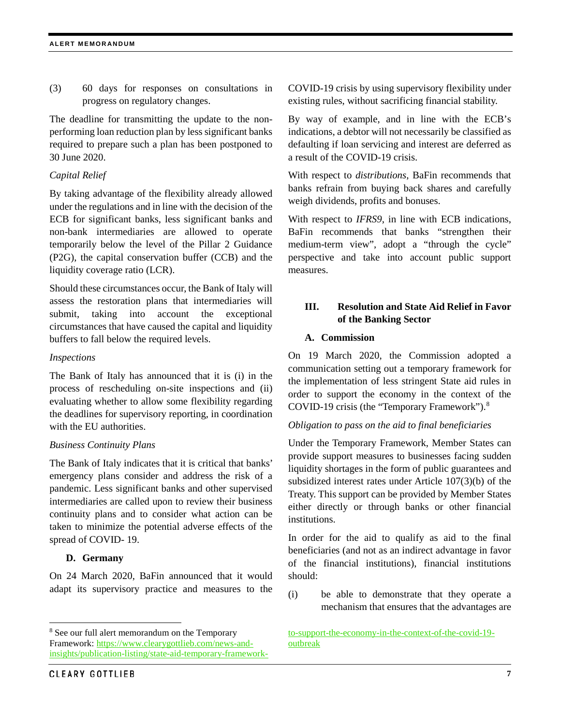(3) 60 days for responses on consultations in progress on regulatory changes.

The deadline for transmitting the update to the nonperforming loan reduction plan by less significant banks required to prepare such a plan has been postponed to 30 June 2020.

## *Capital Relief*

By taking advantage of the flexibility already allowed under the regulations and in line with the decision of the ECB for significant banks, less significant banks and non-bank intermediaries are allowed to operate temporarily below the level of the Pillar 2 Guidance (P2G), the capital conservation buffer (CCB) and the liquidity coverage ratio (LCR).

Should these circumstances occur, the Bank of Italy will assess the restoration plans that intermediaries will submit, taking into account the exceptional circumstances that have caused the capital and liquidity buffers to fall below the required levels.

## *Inspections*

The Bank of Italy has announced that it is (i) in the process of rescheduling on-site inspections and (ii) evaluating whether to allow some flexibility regarding the deadlines for supervisory reporting, in coordination with the EU authorities.

## *Business Continuity Plans*

The Bank of Italy indicates that it is critical that banks' emergency plans consider and address the risk of a pandemic. Less significant banks and other supervised intermediaries are called upon to review their business continuity plans and to consider what action can be taken to minimize the potential adverse effects of the spread of COVID- 19.

## **D. Germany**

On 24 March 2020, BaFin announced that it would adapt its supervisory practice and measures to the COVID-19 crisis by using supervisory flexibility under existing rules, without sacrificing financial stability.

By way of example, and in line with the ECB's indications, a debtor will not necessarily be classified as defaulting if loan servicing and interest are deferred as a result of the COVID-19 crisis.

With respect to *distributions*, BaFin recommends that banks refrain from buying back shares and carefully weigh dividends, profits and bonuses.

With respect to *IFRS9*, in line with ECB indications, BaFin recommends that banks "strengthen their medium-term view", adopt a "through the cycle" perspective and take into account public support measures.

## **III. Resolution and State Aid Relief in Favor of the Banking Sector**

## **A. Commission**

On 19 March 2020, the Commission adopted a communication setting out a temporary framework for the implementation of less stringent State aid rules in order to support the economy in the context of the COVID-19 crisis (the "Temporary Framework"). [8](#page-6-0)

## *Obligation to pass on the aid to final beneficiaries*

Under the Temporary Framework, Member States can provide support measures to businesses facing sudden liquidity shortages in the form of public guarantees and subsidized interest rates under Article 107(3)(b) of the Treaty. This support can be provided by Member States either directly or through banks or other financial institutions.

In order for the aid to qualify as aid to the final beneficiaries (and not as an indirect advantage in favor of the financial institutions), financial institutions should:

(i) be able to demonstrate that they operate a mechanism that ensures that the advantages are

[to-support-the-economy-in-the-context-of-the-covid-19](https://www.clearygottlieb.com/news-and-insights/publication-listing/state-aid-temporary-framework-to-support-the-economy-in-the-context-of-the-covid-19-outbreak) [outbreak](https://www.clearygottlieb.com/news-and-insights/publication-listing/state-aid-temporary-framework-to-support-the-economy-in-the-context-of-the-covid-19-outbreak)

<span id="page-6-0"></span> <sup>8</sup> See our full alert memorandum on the Temporary Framework: [https://www.clearygottlieb.com/news-and](https://www.clearygottlieb.com/news-and-insights/publication-listing/state-aid-temporary-framework-to-support-the-economy-in-the-context-of-the-covid-19-outbreak)[insights/publication-listing/state-aid-temporary-framework-](https://www.clearygottlieb.com/news-and-insights/publication-listing/state-aid-temporary-framework-to-support-the-economy-in-the-context-of-the-covid-19-outbreak)